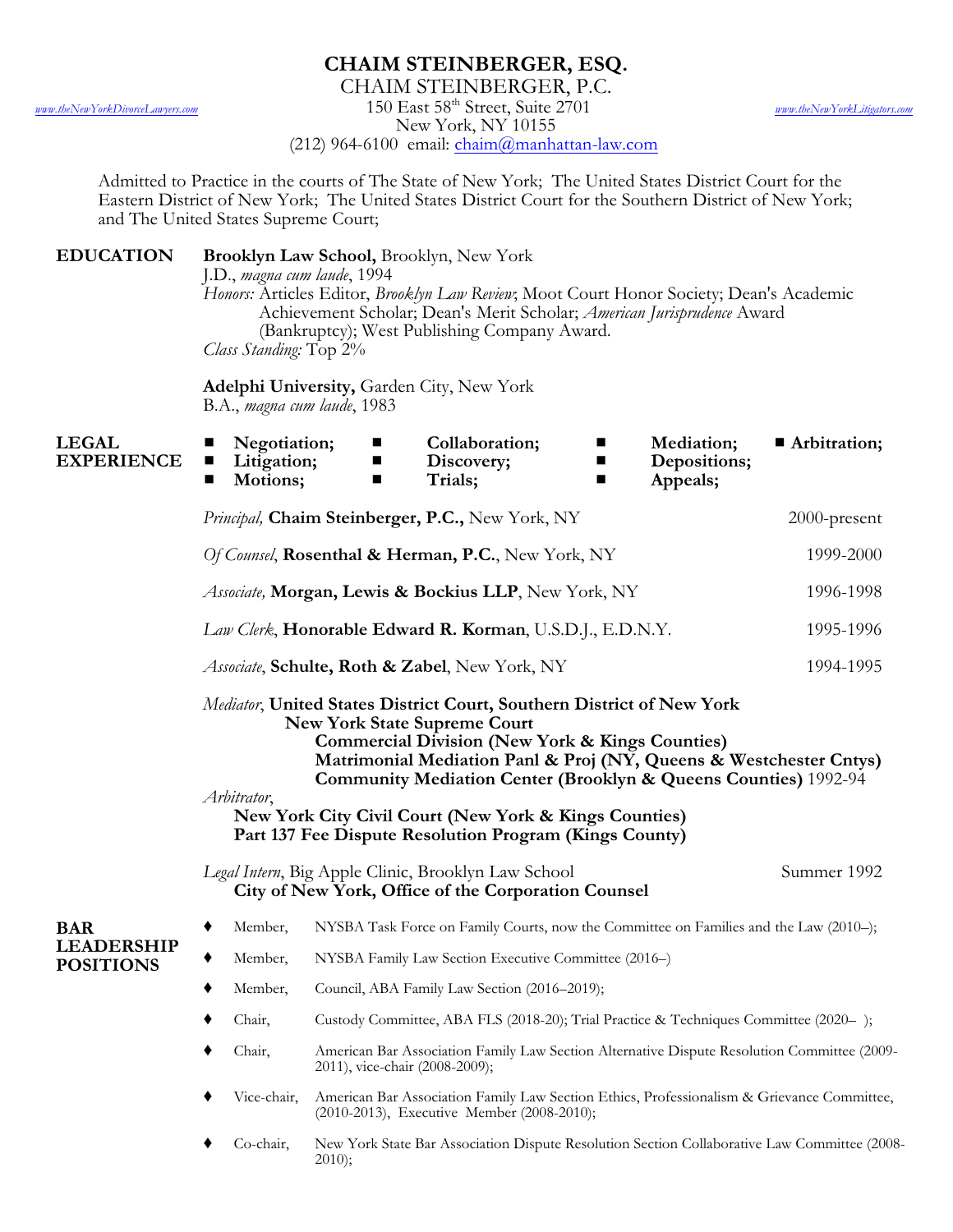## **CHAIM STEINBERGER, ESQ.**

CHAIM STEINBERGER, P.C.

*[www.theNewYorkDivorceLawyers.com](http://www.theNewYorkDivorceLawyers.com)* 150 East 58th Street, Suite 2701 *[www.theNewYorkLitigators.com](http://www.theNewYorkLitigators.com)*

New York, NY 10155

(212) 964-6100 email: [chaim@manhattan-law.com](mailto:chaim@manhattan-law.com)

Admitted to Practice in the courts of The State of New York; The United States District Court for the Eastern District of New York; The United States District Court for the Southern District of New York; and The United States Supreme Court;

**EDUCATION Brooklyn Law School,** Brooklyn, New York

J.D., *magna cum laude*, 1994

*Honors:* Articles Editor, *Brooklyn Law Review*; Moot Court Honor Society; Dean's Academic Achievement Scholar; Dean's Merit Scholar; *American Jurisprudence* Award (Bankruptcy); West Publishing Company Award. *Class Standing:* Top 2%

**Adelphi University,** Garden City, New York B.A., *magna cum laude*, 1983

| <b>LEGAL</b><br><b>EXPERIENCE</b>                   | Negotiation;<br>ш<br>Litigation;<br>■<br>Motions;<br>п                                                                                                                                                                                                                                                                                                                                                                                                           | п<br>ш<br>■                                                                                                                              | Collaboration;<br>Discovery;<br>Trials; | п<br>ш<br>■ | Mediation;<br>Depositions;<br>Appeals; | <b>Arbitration;</b> |
|-----------------------------------------------------|------------------------------------------------------------------------------------------------------------------------------------------------------------------------------------------------------------------------------------------------------------------------------------------------------------------------------------------------------------------------------------------------------------------------------------------------------------------|------------------------------------------------------------------------------------------------------------------------------------------|-----------------------------------------|-------------|----------------------------------------|---------------------|
|                                                     | Principal, Chaim Steinberger, P.C., New York, NY                                                                                                                                                                                                                                                                                                                                                                                                                 |                                                                                                                                          |                                         |             |                                        | 2000-present        |
|                                                     | Of Counsel, Rosenthal & Herman, P.C., New York, NY                                                                                                                                                                                                                                                                                                                                                                                                               |                                                                                                                                          |                                         |             |                                        | 1999-2000           |
|                                                     | Associate, Morgan, Lewis & Bockius LLP, New York, NY                                                                                                                                                                                                                                                                                                                                                                                                             |                                                                                                                                          |                                         |             |                                        | 1996-1998           |
|                                                     | Law Clerk, Honorable Edward R. Korman, U.S.D.J., E.D.N.Y.                                                                                                                                                                                                                                                                                                                                                                                                        |                                                                                                                                          |                                         |             |                                        | 1995-1996           |
|                                                     | Associate, Schulte, Roth & Zabel, New York, NY                                                                                                                                                                                                                                                                                                                                                                                                                   |                                                                                                                                          |                                         |             |                                        | 1994-1995           |
|                                                     | Mediator, United States District Court, Southern District of New York<br><b>New York State Supreme Court</b><br><b>Commercial Division (New York &amp; Kings Counties)</b><br>Matrimonial Mediation Panl & Proj (NY, Queens & Westchester Cntys)<br><b>Community Mediation Center (Brooklyn &amp; Queens Counties)</b> 1992-94<br>Arbitrator,<br>New York City Civil Court (New York & Kings Counties)<br>Part 137 Fee Dispute Resolution Program (Kings County) |                                                                                                                                          |                                         |             |                                        |                     |
|                                                     | <i>Legal Intern</i> , Big Apple Clinic, Brooklyn Law School<br>City of New York, Office of the Corporation Counsel                                                                                                                                                                                                                                                                                                                                               |                                                                                                                                          |                                         |             |                                        | Summer 1992         |
| <b>BAR</b><br><b>LEADERSHIP</b><br><b>POSITIONS</b> | Member,<br>٠                                                                                                                                                                                                                                                                                                                                                                                                                                                     | NYSBA Task Force on Family Courts, now the Committee on Families and the Law (2010–);                                                    |                                         |             |                                        |                     |
|                                                     | Member,                                                                                                                                                                                                                                                                                                                                                                                                                                                          | NYSBA Family Law Section Executive Committee (2016-)                                                                                     |                                         |             |                                        |                     |
|                                                     | Member,                                                                                                                                                                                                                                                                                                                                                                                                                                                          | Council, ABA Family Law Section (2016–2019);                                                                                             |                                         |             |                                        |                     |
|                                                     | Chair,                                                                                                                                                                                                                                                                                                                                                                                                                                                           | Custody Committee, ABA FLS (2018-20); Trial Practice & Techniques Committee (2020-);                                                     |                                         |             |                                        |                     |
|                                                     | Chair,                                                                                                                                                                                                                                                                                                                                                                                                                                                           | American Bar Association Family Law Section Alternative Dispute Resolution Committee (2009-<br>2011), vice-chair (2008-2009);            |                                         |             |                                        |                     |
|                                                     | Vice-chair,                                                                                                                                                                                                                                                                                                                                                                                                                                                      | American Bar Association Family Law Section Ethics, Professionalism & Grievance Committee,<br>(2010-2013), Executive Member (2008-2010); |                                         |             |                                        |                     |
|                                                     | Co-chair,                                                                                                                                                                                                                                                                                                                                                                                                                                                        | New York State Bar Association Dispute Resolution Section Collaborative Law Committee (2008-<br>$2010$ ;                                 |                                         |             |                                        |                     |